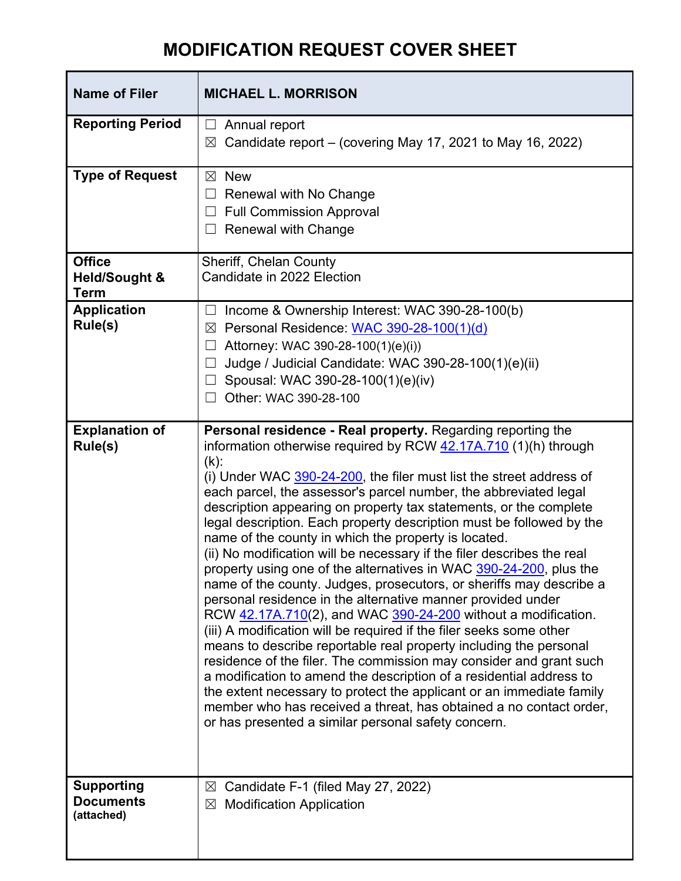## **MODIFICATION REQUEST COVER SHEET**

| <b>Name of Filer</b>                                     | <b>MICHAEL L. MORRISON</b>                                                                                                                                                                                                                                                                                                                                                                                                                                                                                                                                                                                                                                                                                                                                                                                                                                                                                                                                                                                                                                                                                                                                                                                                                                                                                                                     |
|----------------------------------------------------------|------------------------------------------------------------------------------------------------------------------------------------------------------------------------------------------------------------------------------------------------------------------------------------------------------------------------------------------------------------------------------------------------------------------------------------------------------------------------------------------------------------------------------------------------------------------------------------------------------------------------------------------------------------------------------------------------------------------------------------------------------------------------------------------------------------------------------------------------------------------------------------------------------------------------------------------------------------------------------------------------------------------------------------------------------------------------------------------------------------------------------------------------------------------------------------------------------------------------------------------------------------------------------------------------------------------------------------------------|
| <b>Reporting Period</b>                                  | Annual report<br>Candidate report – (covering May 17, 2021 to May 16, 2022)<br>$\boxtimes$                                                                                                                                                                                                                                                                                                                                                                                                                                                                                                                                                                                                                                                                                                                                                                                                                                                                                                                                                                                                                                                                                                                                                                                                                                                     |
| <b>Type of Request</b>                                   | <b>New</b><br>⊠<br>Renewal with No Change<br>Ш<br><b>Full Commission Approval</b><br><b>Renewal with Change</b>                                                                                                                                                                                                                                                                                                                                                                                                                                                                                                                                                                                                                                                                                                                                                                                                                                                                                                                                                                                                                                                                                                                                                                                                                                |
| <b>Office</b><br><b>Held/Sought &amp;</b><br><b>Term</b> | Sheriff, Chelan County<br>Candidate in 2022 Election                                                                                                                                                                                                                                                                                                                                                                                                                                                                                                                                                                                                                                                                                                                                                                                                                                                                                                                                                                                                                                                                                                                                                                                                                                                                                           |
| <b>Application</b><br>Rule(s)                            | Income & Ownership Interest: WAC 390-28-100(b)<br>Personal Residence: WAC 390-28-100(1)(d)<br>$\boxtimes$<br>Attorney: WAC 390-28-100(1)(e)(i))<br>Judge / Judicial Candidate: WAC 390-28-100(1)(e)(ii)<br>Spousal: WAC 390-28-100(1)(e)(iv)<br>Other: WAC 390-28-100                                                                                                                                                                                                                                                                                                                                                                                                                                                                                                                                                                                                                                                                                                                                                                                                                                                                                                                                                                                                                                                                          |
| <b>Explanation of</b><br>Rule(s)                         | Personal residence - Real property. Regarding reporting the<br>information otherwise required by RCW 42.17A.710 (1)(h) through<br>$(k)$ :<br>(i) Under WAC 390-24-200, the filer must list the street address of<br>each parcel, the assessor's parcel number, the abbreviated legal<br>description appearing on property tax statements, or the complete<br>legal description. Each property description must be followed by the<br>name of the county in which the property is located.<br>(ii) No modification will be necessary if the filer describes the real<br>property using one of the alternatives in WAC 390-24-200, plus the<br>name of the county. Judges, prosecutors, or sheriffs may describe a<br>personal residence in the alternative manner provided under<br>RCW 42.17A.710(2), and WAC 390-24-200 without a modification.<br>(iii) A modification will be required if the filer seeks some other<br>means to describe reportable real property including the personal<br>residence of the filer. The commission may consider and grant such<br>a modification to amend the description of a residential address to<br>the extent necessary to protect the applicant or an immediate family<br>member who has received a threat, has obtained a no contact order,<br>or has presented a similar personal safety concern. |
| <b>Supporting</b><br><b>Documents</b><br>(attached)      | Candidate F-1 (filed May 27, 2022)<br>⊠<br><b>Modification Application</b><br>⊠                                                                                                                                                                                                                                                                                                                                                                                                                                                                                                                                                                                                                                                                                                                                                                                                                                                                                                                                                                                                                                                                                                                                                                                                                                                                |